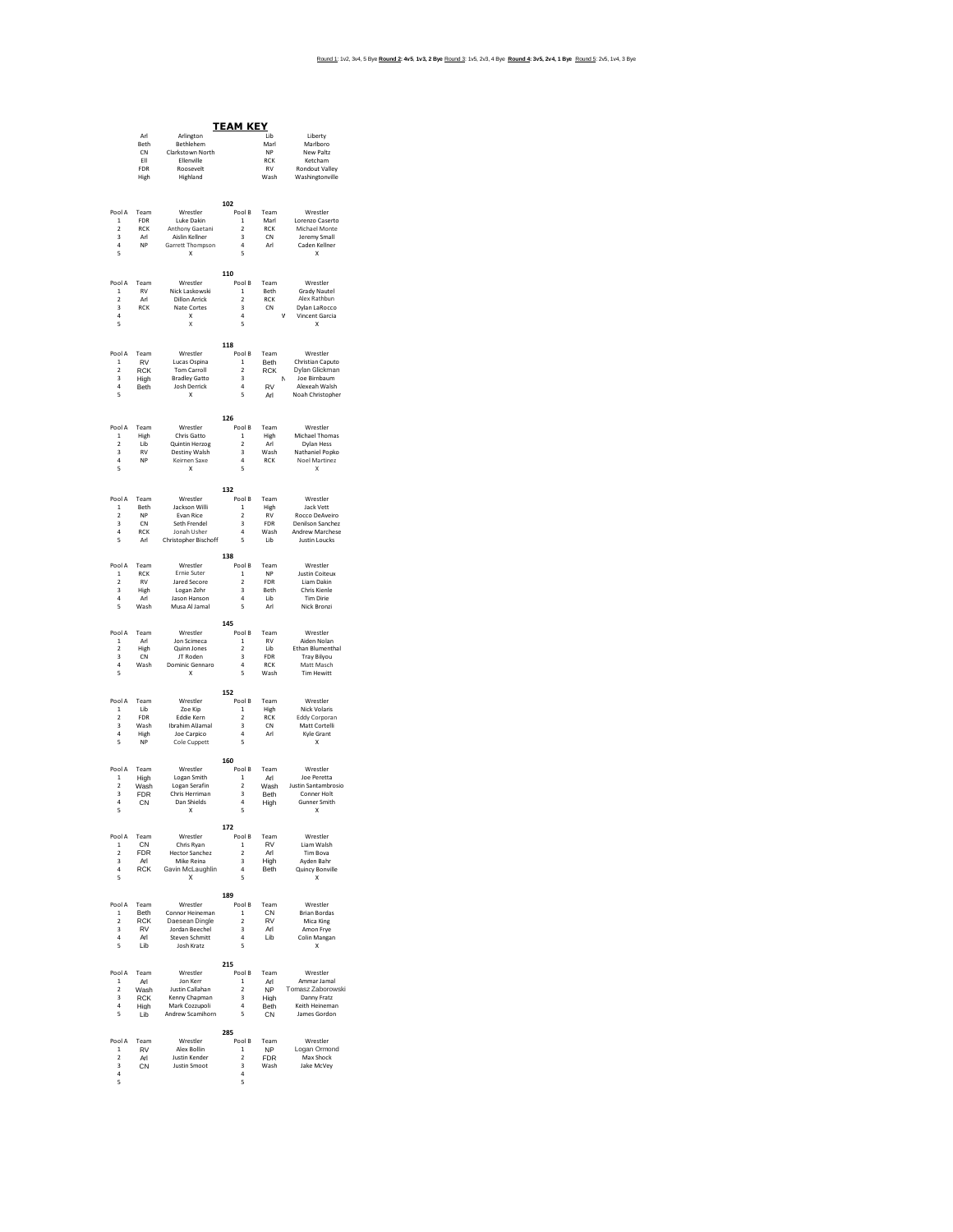| <u>TEAM KEY</u>                                     |                    |                                               |                                                    |                    |                                              |  |  |
|-----------------------------------------------------|--------------------|-----------------------------------------------|----------------------------------------------------|--------------------|----------------------------------------------|--|--|
|                                                     | Arl<br><b>Beth</b> | Arlington<br>Rethlehem                        |                                                    | Lib<br>Marl        | Liberty<br>Marlboro                          |  |  |
|                                                     | CN                 | Clarkstown North                              |                                                    | NP                 | New Paltz                                    |  |  |
|                                                     | FII<br>FDR         | Fllenville<br>Roosevelt                       |                                                    | RCK<br>${\sf RV}$  | Ketcham<br><b>Rondout Valley</b>             |  |  |
|                                                     | High               | Highland                                      |                                                    | Wash               | Washingtonville                              |  |  |
|                                                     |                    |                                               |                                                    |                    |                                              |  |  |
| Pool A                                              | Team               | Wrestler                                      | 102<br>Pool B                                      | Team               | Wrestler                                     |  |  |
| $\mathbf 1$                                         | FDR                | Luke Dakin                                    | $\,$ 1 $\,$                                        | Marl               | Lorenzo Caserto                              |  |  |
| $\overline{2}$<br>3                                 | <b>RCK</b><br>Arl  | Anthony Gaetani<br>Aislin Kellner             | $\overline{2}$<br>3                                | <b>RCK</b><br>CN   | Michael Monte<br>Jeremy Small                |  |  |
| $\overline{a}$<br>5                                 | <b>NP</b>          | Garrett Thompson<br>$\boldsymbol{\mathsf{x}}$ | $\Delta$<br>5                                      | Arl                | Caden Kellner<br>$\boldsymbol{\mathsf{x}}$   |  |  |
|                                                     |                    |                                               |                                                    |                    |                                              |  |  |
| Pool A                                              | Team               | Wrestler                                      | 110<br>Pool B                                      | Team               | Wrestler                                     |  |  |
| 1<br>$\overline{2}$                                 | RV<br>Arl          | Nick Laskowski<br><b>Dillon Arrick</b>        | $\mathbf{1}$<br>$\overline{\mathbf{2}}$            | Reth<br><b>RCK</b> | <b>Grady Nautel</b><br>Alex Rathbun          |  |  |
| $\overline{\mathbf{3}}$                             | <b>RCK</b>         | Nate Cortes                                   | $\overline{\mathbf{3}}$                            | CN                 | Dylan LaRocco                                |  |  |
| 4<br>5                                              |                    | X<br>X                                        | $\overline{a}$<br>$\overline{\phantom{a}}$         |                    | Vincent Garcia<br>$\mathbf{x}$               |  |  |
|                                                     |                    |                                               | 118                                                |                    |                                              |  |  |
| Pool A                                              | Team               | Wrestler                                      | Pool B                                             | Team               | Wrestler                                     |  |  |
| $\mathbf{1}$<br>$\mathcal{P}$                       | RV<br><b>RCK</b>   | Lucas Ospina<br>Tom Carroll                   | $\mathbf{1}$<br>$\overline{\phantom{a}}$           | Beth<br><b>RCK</b> | Christian Caputo<br>Dylan Glickman           |  |  |
| 3<br>$\overline{a}$                                 | High               | <b>Bradley Gatto</b>                          | 3<br>$\overline{a}$                                | <b>RV</b>          | Joe Birnbaum<br>Alexeah Walsh                |  |  |
| 5                                                   | Beth               | Josh Derrick<br>X                             | 5                                                  | Arl                | Noah Christopher                             |  |  |
|                                                     |                    |                                               | 126                                                |                    |                                              |  |  |
| Pool A                                              | Team               | Wrestler                                      | Pool B                                             | Team               | Wrestler                                     |  |  |
| 1<br>$\overline{2}$                                 | High<br>I ih       | Chris Gatto<br>Quintin Herzog                 | $\mathbf{1}$<br>$\overline{\mathbf{2}}$            | High<br>Arl        | Michael Thomas<br>Dylan Hess                 |  |  |
| $\overline{\mathbf{3}}$                             | <b>RV</b>          | Destiny Walsh                                 | $\overline{\mathbf{3}}$                            | Wash               | Nathaniel Popko                              |  |  |
| 4<br>5                                              | NP                 | Keirnen Saxe<br>$\boldsymbol{\mathsf{x}}$     | $\sqrt{4}$<br>5                                    | RCK                | <b>Noel Martinez</b><br>X                    |  |  |
|                                                     |                    |                                               | 132                                                |                    |                                              |  |  |
| Pool A                                              | Team               | Wrestler                                      | Pool B                                             | Team               | Wrestler                                     |  |  |
| $\mathbf{1}$<br>$\overline{\phantom{a}}$            | Beth<br><b>NP</b>  | Jackson Willi<br>Evan Rice                    | $\mathbf{1}$<br>$\overline{\phantom{a}}$           | High<br><b>RV</b>  | Jack Vett<br>Rocco DeAveiro                  |  |  |
| $\overline{\mathbf{3}}$                             | CN                 | Seth Frendel                                  | 3                                                  | FDR                | Denilson Sanchez                             |  |  |
| $\overline{a}$<br>5                                 | <b>RCK</b><br>Arl  | Jonah Usher<br>Christopher Bischoff           | $\overline{a}$<br>5                                | Wash<br>Lib        | Andrew Marchese<br><b>Justin Loucks</b>      |  |  |
|                                                     |                    |                                               | 138                                                |                    |                                              |  |  |
| Pool A                                              | Team<br><b>RCK</b> | Wrestler                                      | Pool B                                             | Team<br><b>NP</b>  | Wrestler                                     |  |  |
| $\mathbf{1}$<br>$\overline{2}$                      | <b>RV</b>          | Ernie Suter<br>Jared Secore                   | $\mathbf{1}$<br>$\overline{\mathbf{c}}$            | <b>FDR</b>         | <b>Justin Coiteux</b><br>Liam Dakin          |  |  |
| $\overline{\mathbf{3}}$<br>4                        | High<br>Arl        | Logan Zehr<br>Jason Hanson                    | $\overline{\mathbf{3}}$<br>$\sqrt{4}$              | <b>Beth</b><br>Lib | Chris Kienle<br><b>Tim Dirie</b>             |  |  |
| 5                                                   | Wash               | Musa Al Jamal                                 | 5                                                  | Arl                | Nick Bronzi                                  |  |  |
|                                                     |                    |                                               | 145                                                |                    |                                              |  |  |
| Pool A<br>1                                         | Team<br>Arl        | Wrestler<br>Ion Scimeca                       | Pool B<br>$\mathbf{1}$                             | Team<br>RV         | Wrestler<br>Aiden Nolan                      |  |  |
| $\overline{2}$                                      | High               | Quinn Jones                                   | $\overline{2}$                                     | Lib                | Ethan Blumenthal                             |  |  |
| 3<br>$\overline{a}$                                 | ${\sf CN}$<br>Wash | JT Roden<br>Dominic Gennaro                   | 3<br>$\overline{a}$                                | <b>FDR</b><br>RCK  | Tray Bilyou<br>Matt Masch                    |  |  |
| 5                                                   |                    | X                                             | 5                                                  | Wash               | Tim Hewitt                                   |  |  |
|                                                     |                    |                                               | 152                                                |                    |                                              |  |  |
| Pool A<br>$\mathbf{1}$                              | Team<br>1 ib       | Wrestler<br>Zoe Kip                           | Pool B<br>$\mathbf{1}$                             | Team<br>High       | Wrestler<br>Nick Volaris                     |  |  |
| $\overline{\mathbf{c}}$<br>$\overline{\mathbf{3}}$  | FDR<br>Wash        | Eddie Kern                                    | $\overline{\mathbf{2}}$<br>$\overline{\mathbf{3}}$ | RCK<br>CN          | Eddy Corporan<br>Matt Cortelli               |  |  |
| $\ddot{a}$                                          | High               | Ibrahim AlJamal<br>Joe Carpico                | $\sqrt{4}$                                         | Arl                | Kyle Grant                                   |  |  |
| 5                                                   | <b>NP</b>          | Cole Cuppett                                  | 5                                                  |                    | X                                            |  |  |
| Pool A                                              | Team               | Wrestler                                      | 160<br>Pool B                                      | Team               | Wrestler                                     |  |  |
| $\mathbf{1}$                                        | High               | Logan Smith                                   | $\mathbf{1}$                                       | Arl                | Joe Peretta                                  |  |  |
| $\overline{\phantom{a}}$<br>$\overline{\mathbf{3}}$ | Wash<br><b>FDR</b> | Logan Serafin<br>Chris Herriman               | $\overline{\phantom{a}}$<br>3                      | Wash<br>Beth       | Justin Santambrosio<br>Conner Holt           |  |  |
| $\overline{a}$<br>5                                 | CN                 | Dan Shields                                   | $\overline{a}$<br>5                                | High               | Gunner Smith                                 |  |  |
|                                                     |                    | X                                             |                                                    |                    | X                                            |  |  |
| Pool A Team                                         |                    | Wrestler                                      | 172<br>Pool B                                      | Team               | Wrestler                                     |  |  |
| $\mathbf{1}$<br>$\overline{2}$                      | CN                 | Chris Ryan<br><b>Hector Sanchez</b>           | $\mathbf{1}$<br>$\overline{\mathbf{2}}$            | <b>RV</b><br>Arl   | Liam Walsh<br>Tim Bova                       |  |  |
| 3                                                   | <b>FDR</b><br>Arl  | Mike Reina                                    | 3                                                  | High               | Ayden Bahr                                   |  |  |
| $\overline{\mathbf{4}}$<br>5                        | <b>RCK</b>         | Gavin McLaughlin<br>$\boldsymbol{\mathsf{x}}$ | $\boldsymbol{4}$<br>5                              | Beth               | Quincy Bonville<br>$\boldsymbol{\mathsf{x}}$ |  |  |
|                                                     |                    |                                               | 189                                                |                    |                                              |  |  |
| Pool A                                              | Team               | Wrestler                                      | Pool B                                             | Team               | Wrestler                                     |  |  |
| $\mathbf{1}$<br>$\mathcal{P}$                       | Beth<br><b>RCK</b> | Connor Heineman<br>Daesean Dingle             | $\mathbf{1}$<br>$\mathcal{P}$                      | CN<br>RV           | <b>Brian Bordas</b><br>Mica King             |  |  |
| 3                                                   | RV                 | Jordan Beechel                                | 3                                                  | Arl                | Amon Frye                                    |  |  |
| 4<br>5                                              | Arl<br>I ib        | Steven Schmitt<br>Josh Kratz                  | $\overline{a}$<br>5                                | Lib                | Colin Mangan<br>X                            |  |  |
|                                                     |                    |                                               | 215                                                |                    |                                              |  |  |
| Pool A                                              | Team               | Wrestler                                      | Pool B                                             | Team               | Wrestler                                     |  |  |
| $\mathbf{1}$<br>$\overline{2}$                      | Arl<br>Wash        | Jon Kerr<br>Justin Callahan                   | $\mathbf{1}$<br>$\mathcal{P}$                      | Arl<br>NP          | Ammar Jamal<br>Tomasz Zaborowski             |  |  |
| 3                                                   | RCK                | Kenny Chapman                                 | 3                                                  | High               | Danny Fratz                                  |  |  |
| $\overline{\mathbf{4}}$<br>5                        | High<br>l ib       | Mark Cozzupoli<br>Andrew Scamihorn            | $\sqrt{4}$<br>5 <sub>1</sub>                       | Beth<br>CN         | Keith Heineman<br>James Gordon               |  |  |
|                                                     |                    |                                               | 285                                                |                    |                                              |  |  |
| Pool A<br>$\mathbf{1}$                              | Team<br><b>RV</b>  | Wrestler<br>Alex Bollin                       | Pool B<br>$\mathbf{1}$                             | Team<br><b>NP</b>  | Wrestler<br>Logan Ormond                     |  |  |
| $\overline{\mathbf{c}}$                             | Arl                | <b>Justin Kender</b>                          | $\overline{\mathbf{2}}$                            | <b>FDR</b>         | Max Shock                                    |  |  |
| 3<br>$\ddot{a}$                                     | CN                 | Justin Smoot                                  | 3<br>4                                             | Wash               | Jake McVey                                   |  |  |
| 5                                                   |                    |                                               | 5                                                  |                    |                                              |  |  |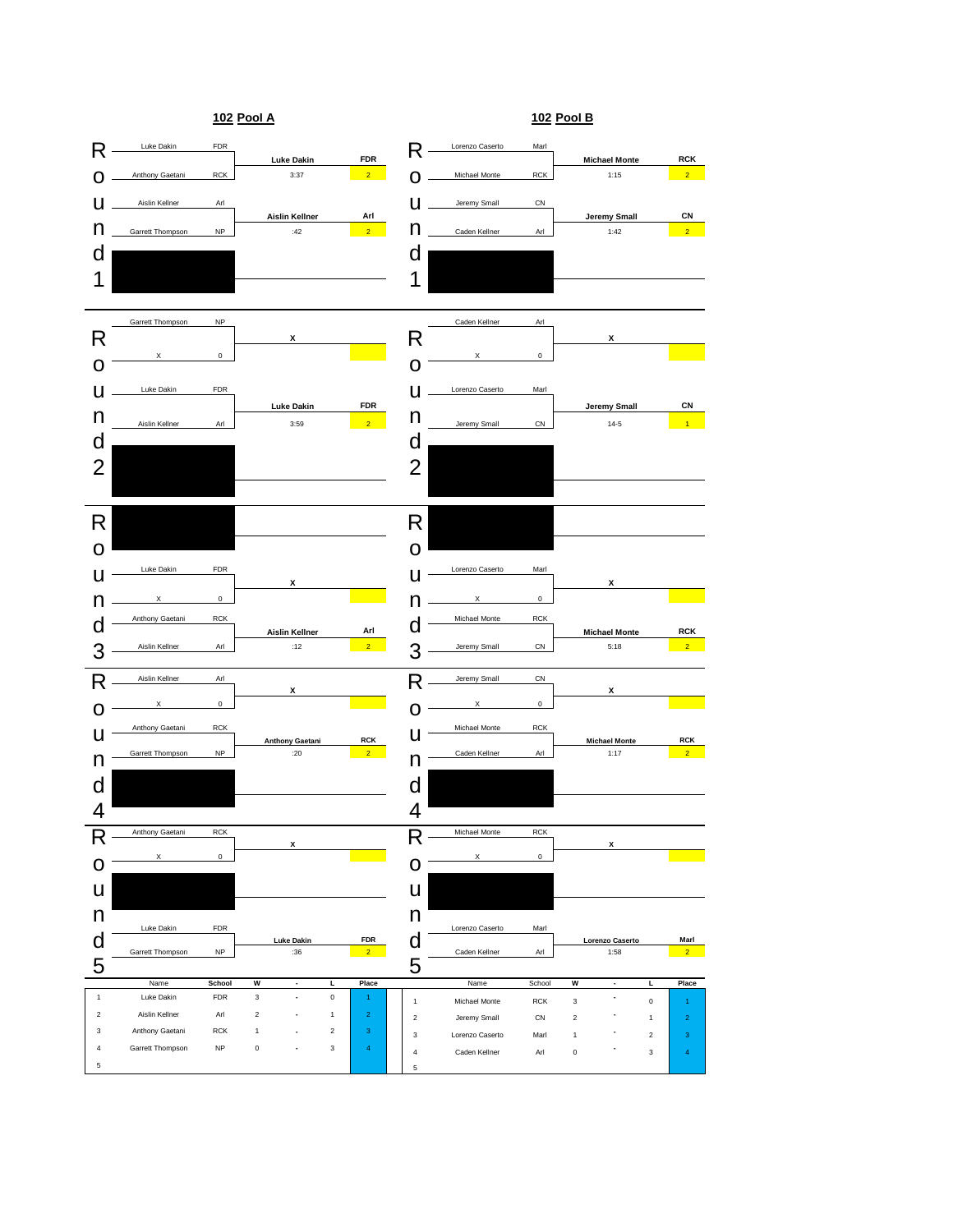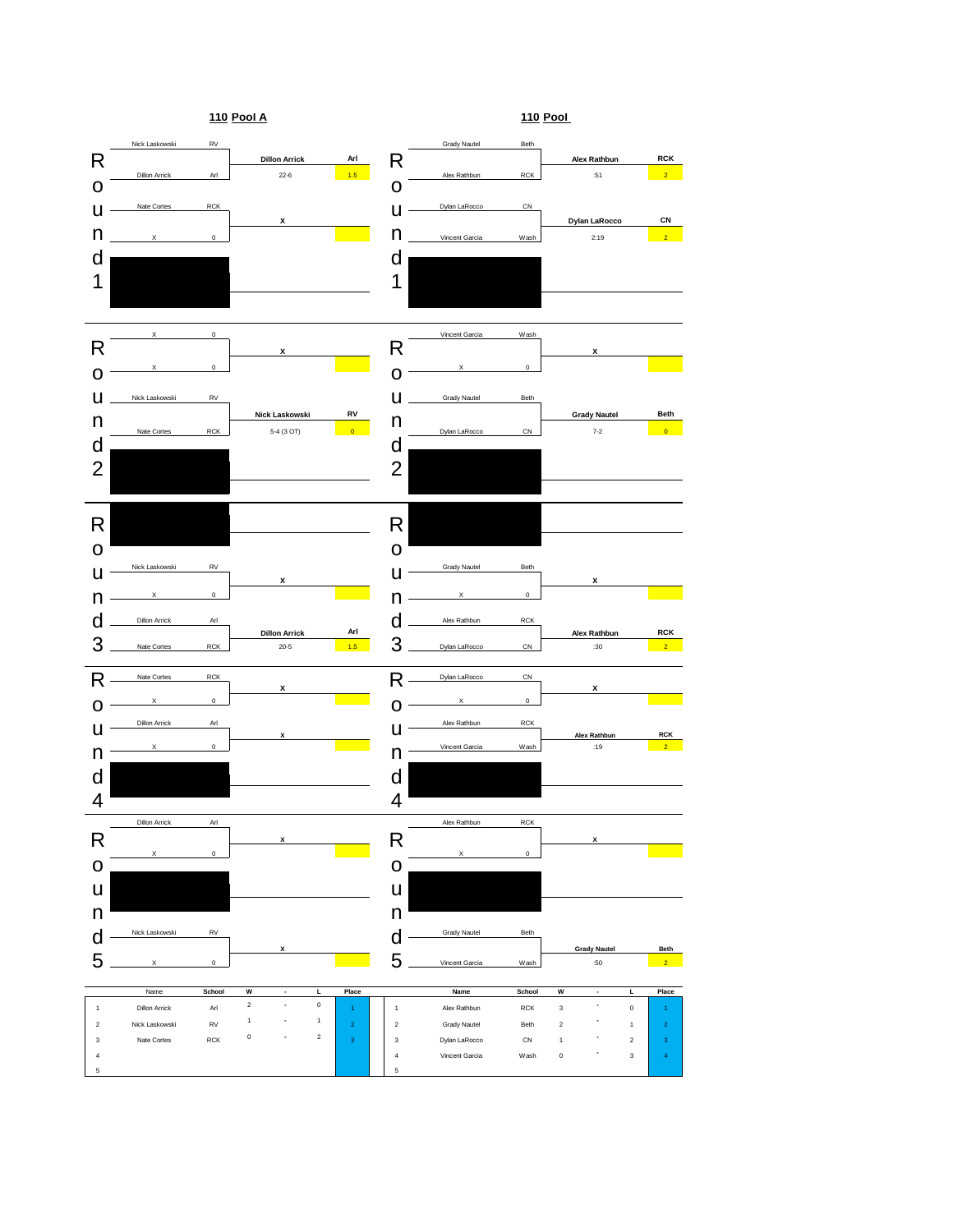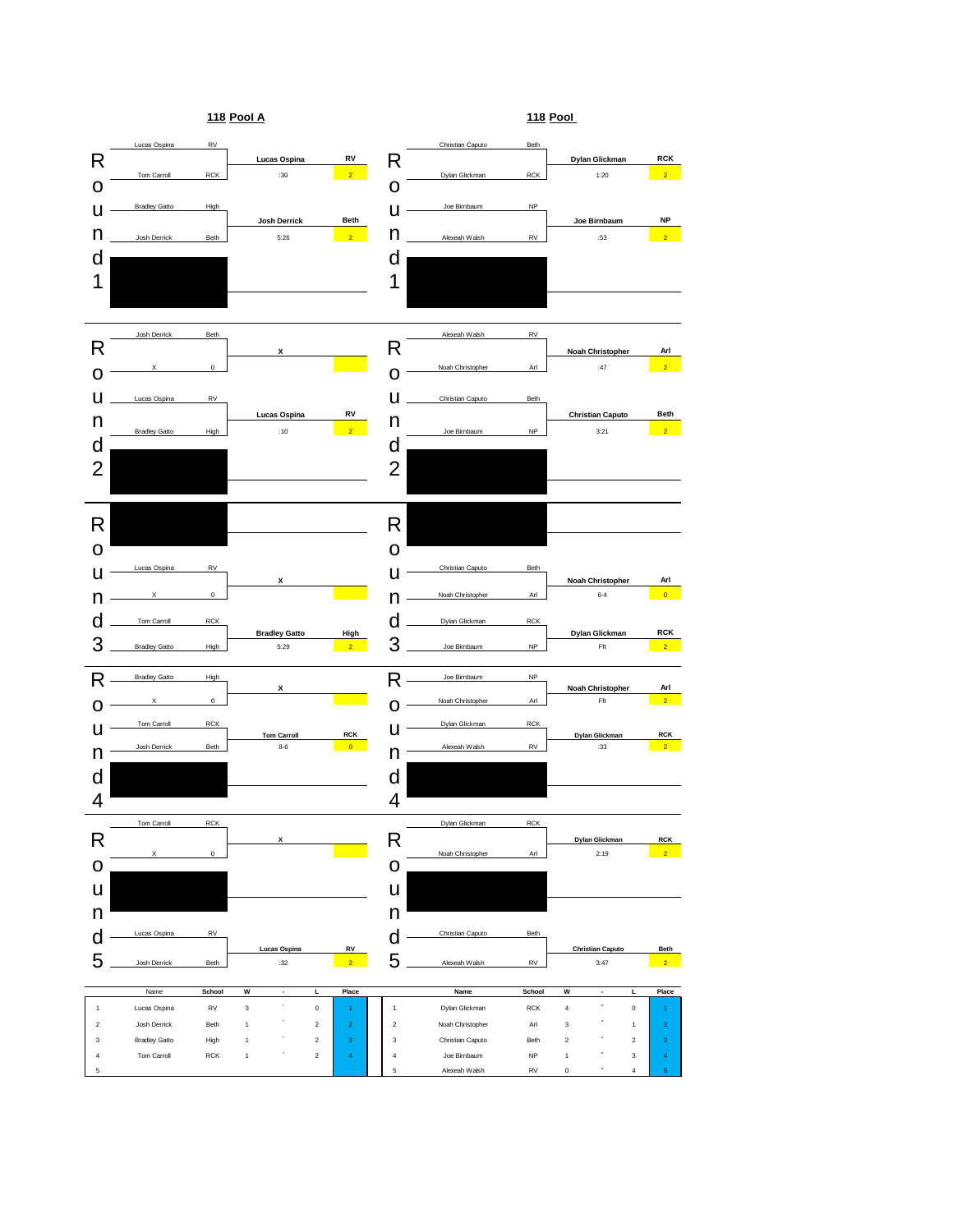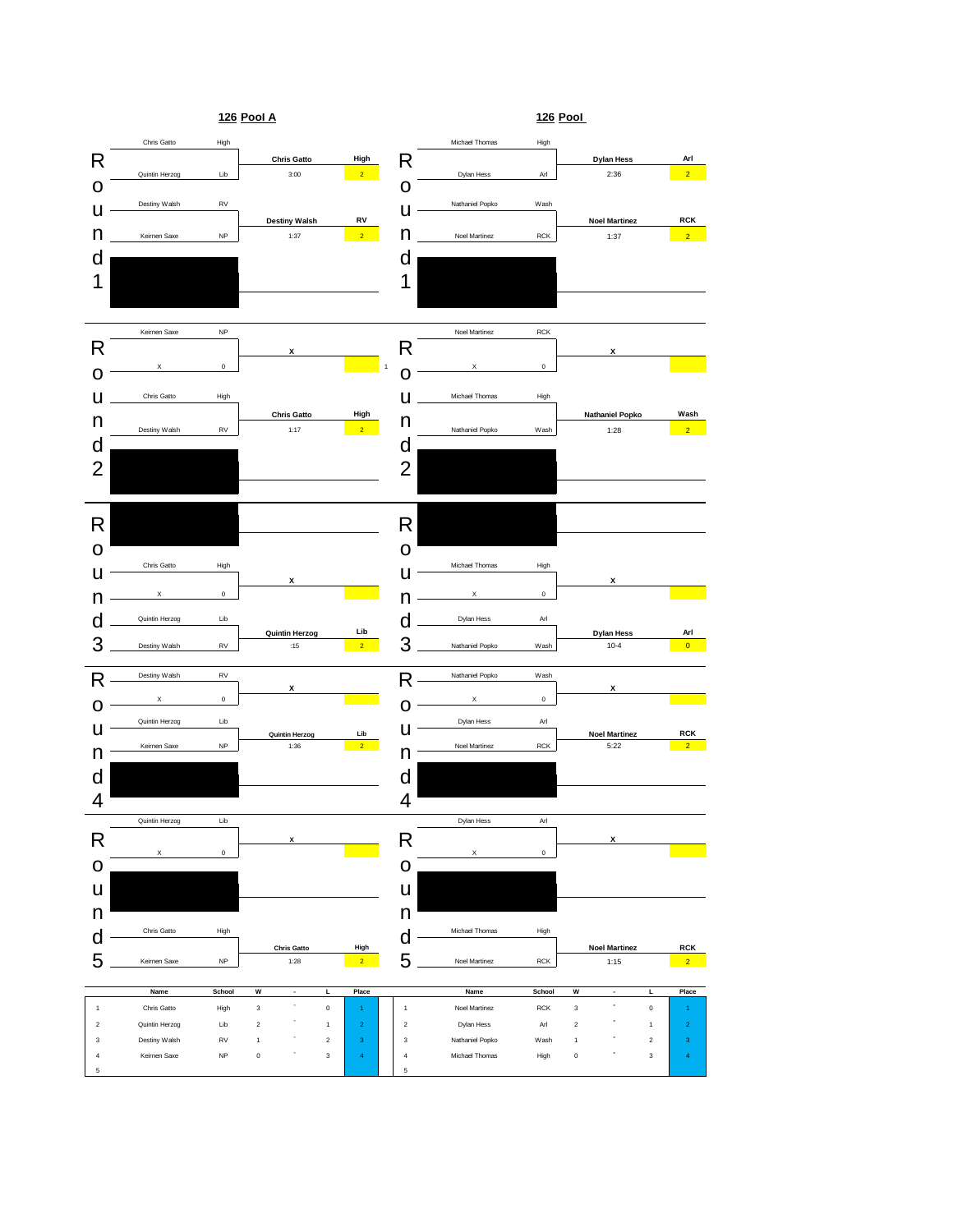![](_page_4_Figure_0.jpeg)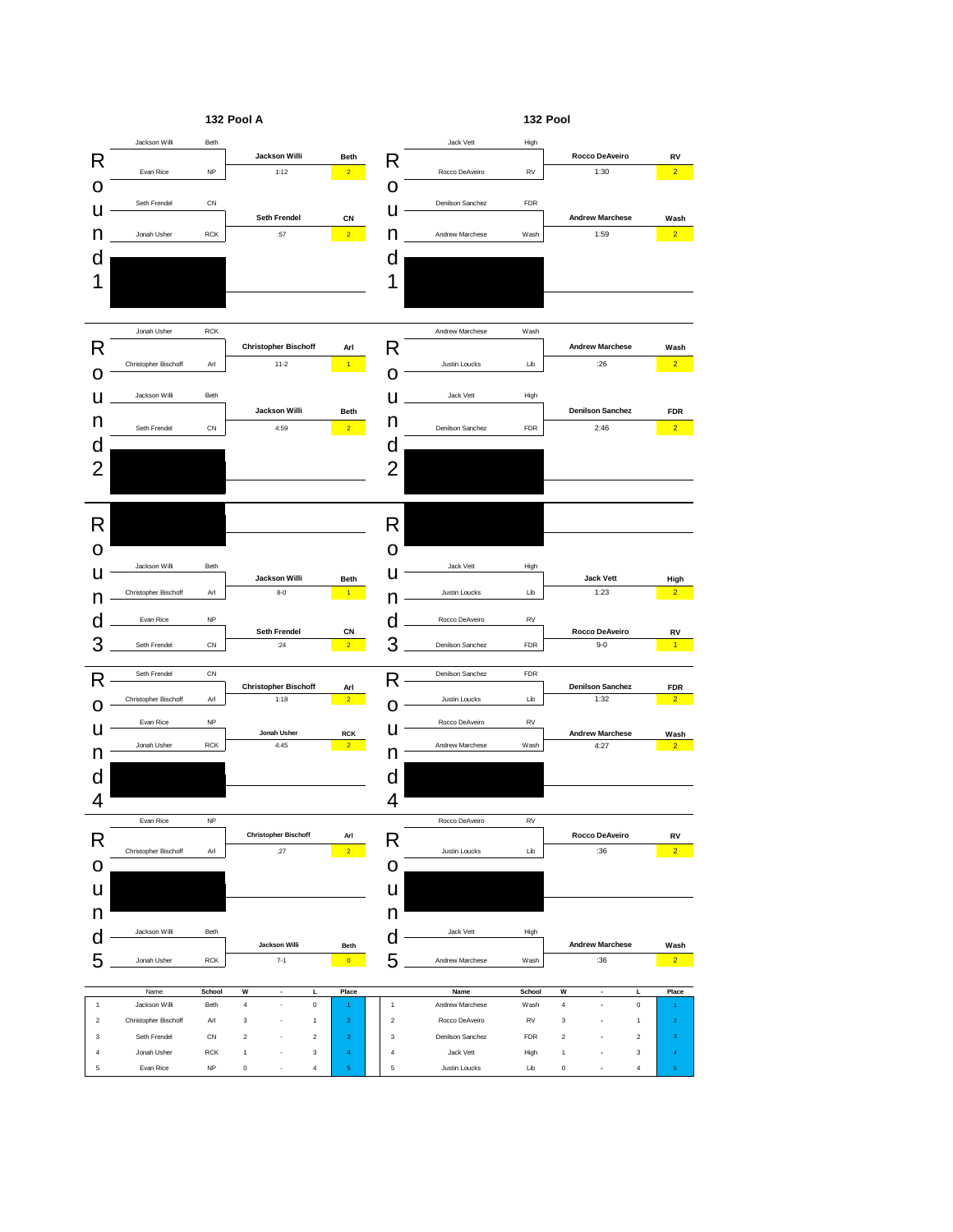![](_page_5_Figure_0.jpeg)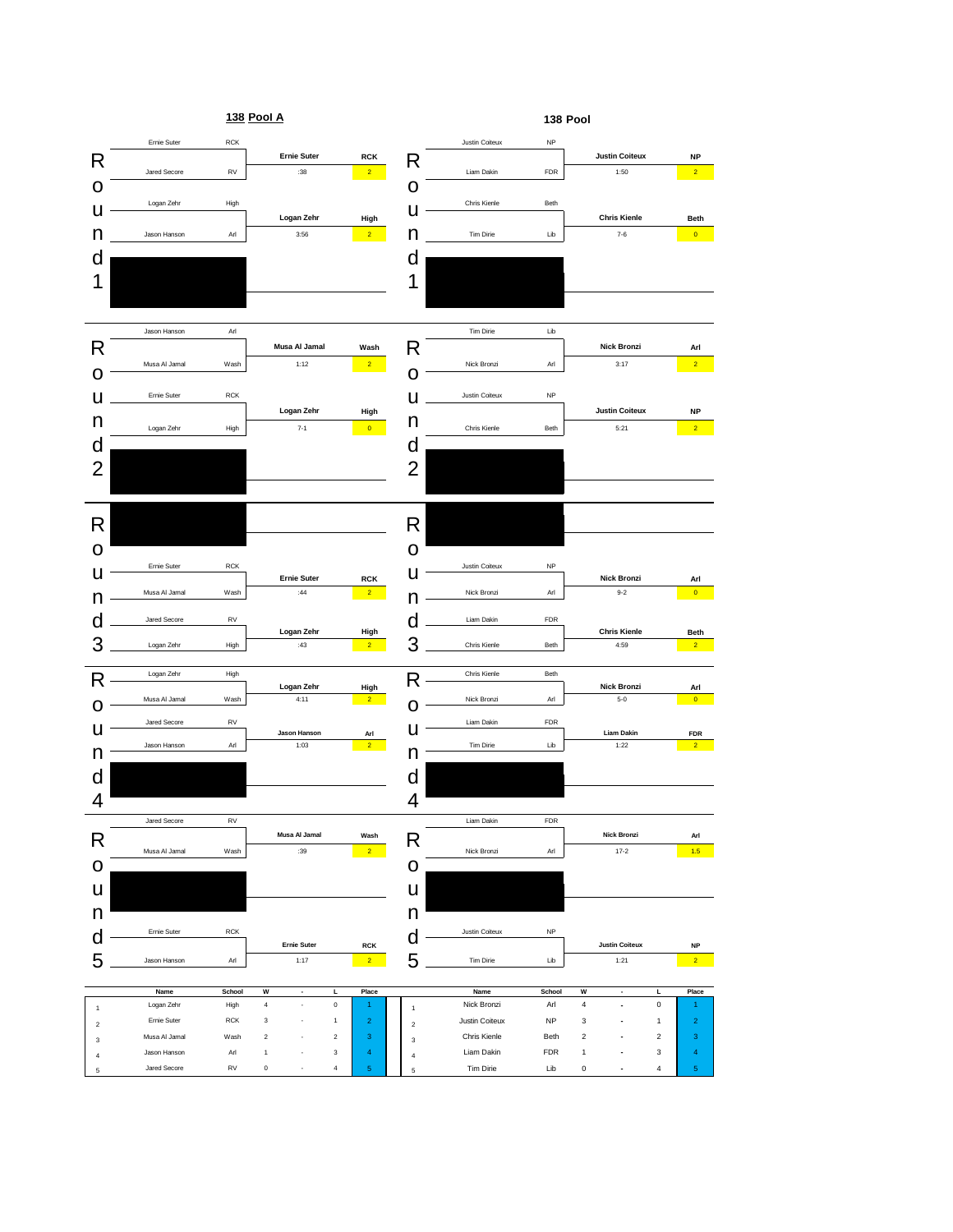![](_page_6_Figure_0.jpeg)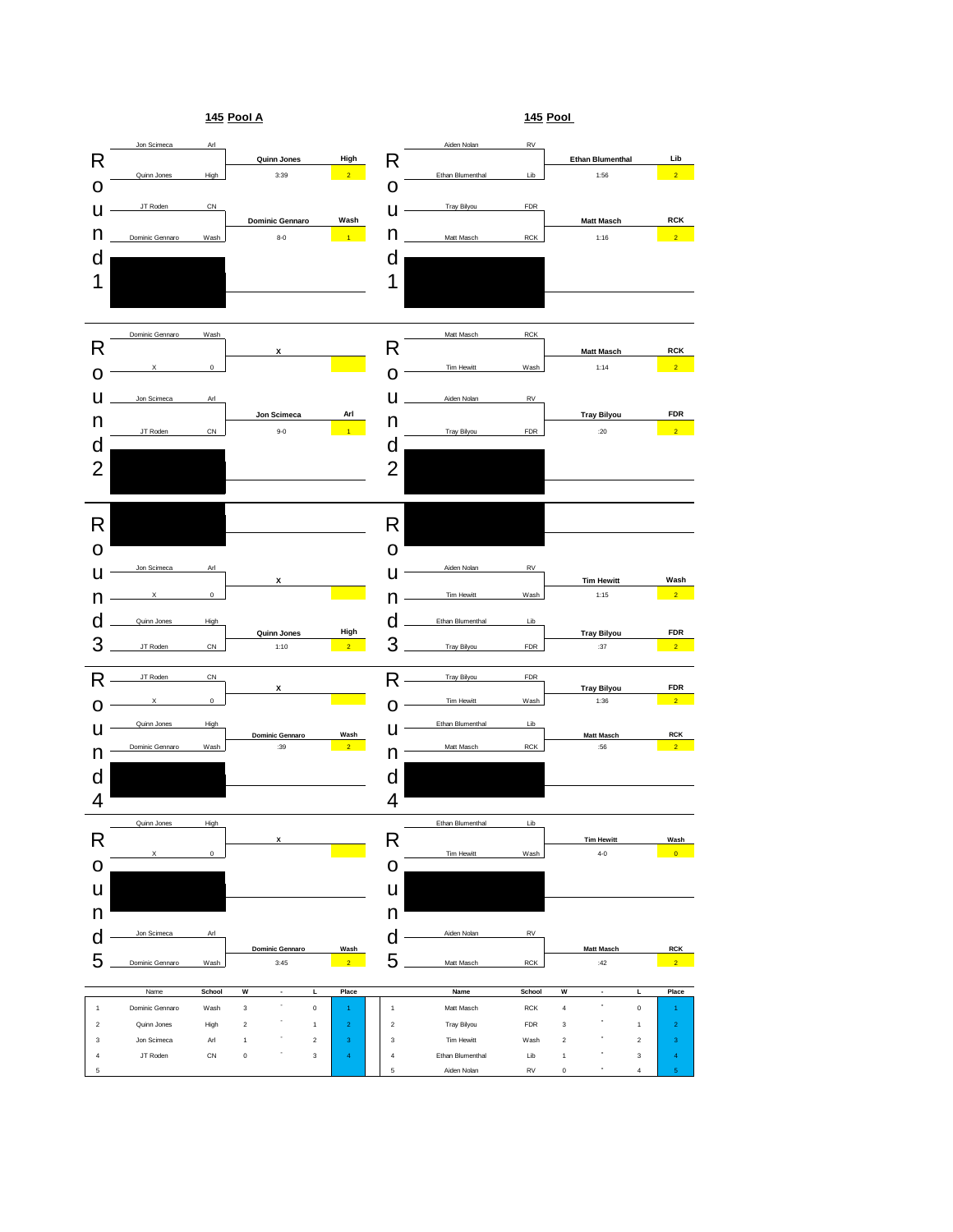![](_page_7_Figure_0.jpeg)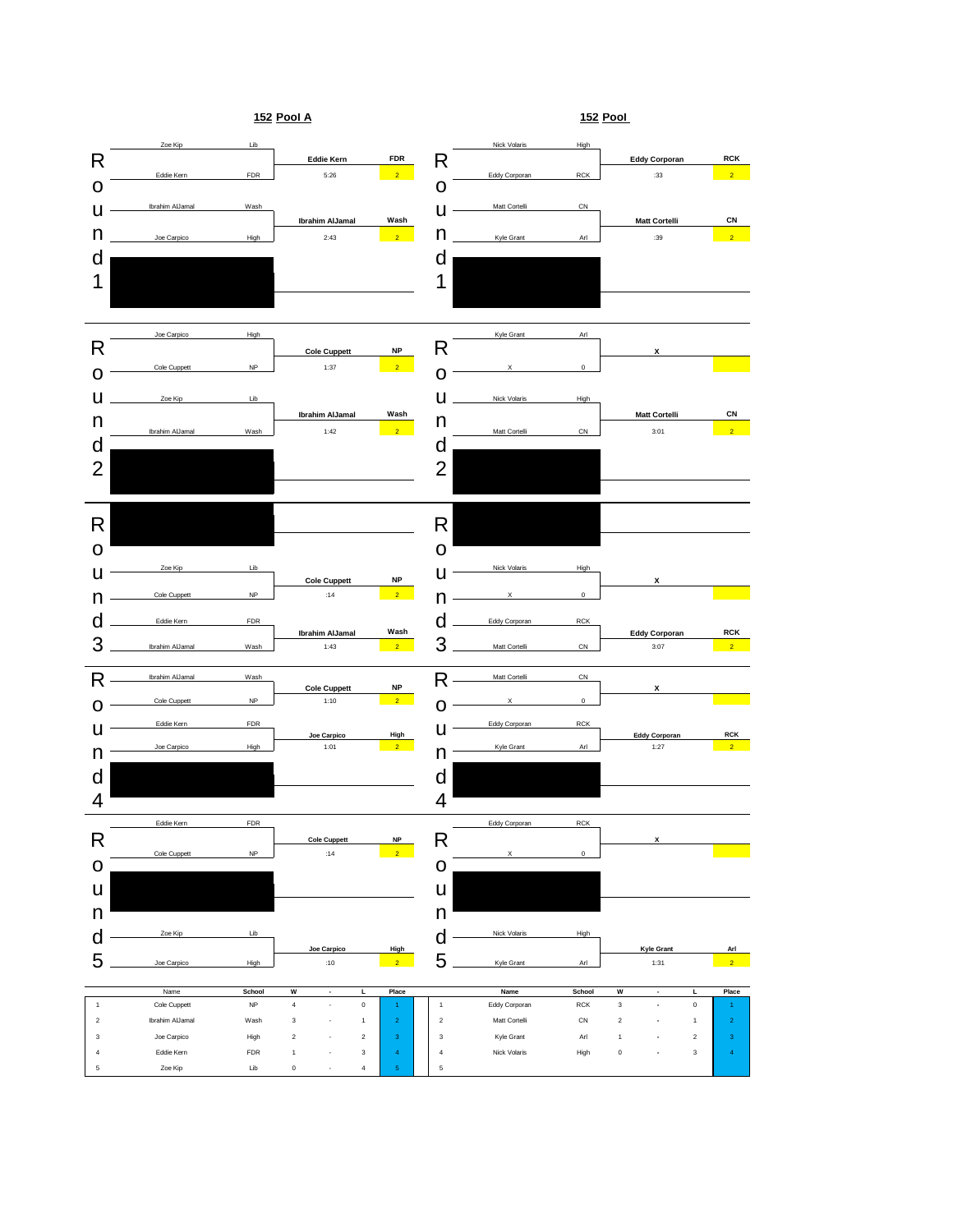![](_page_8_Figure_0.jpeg)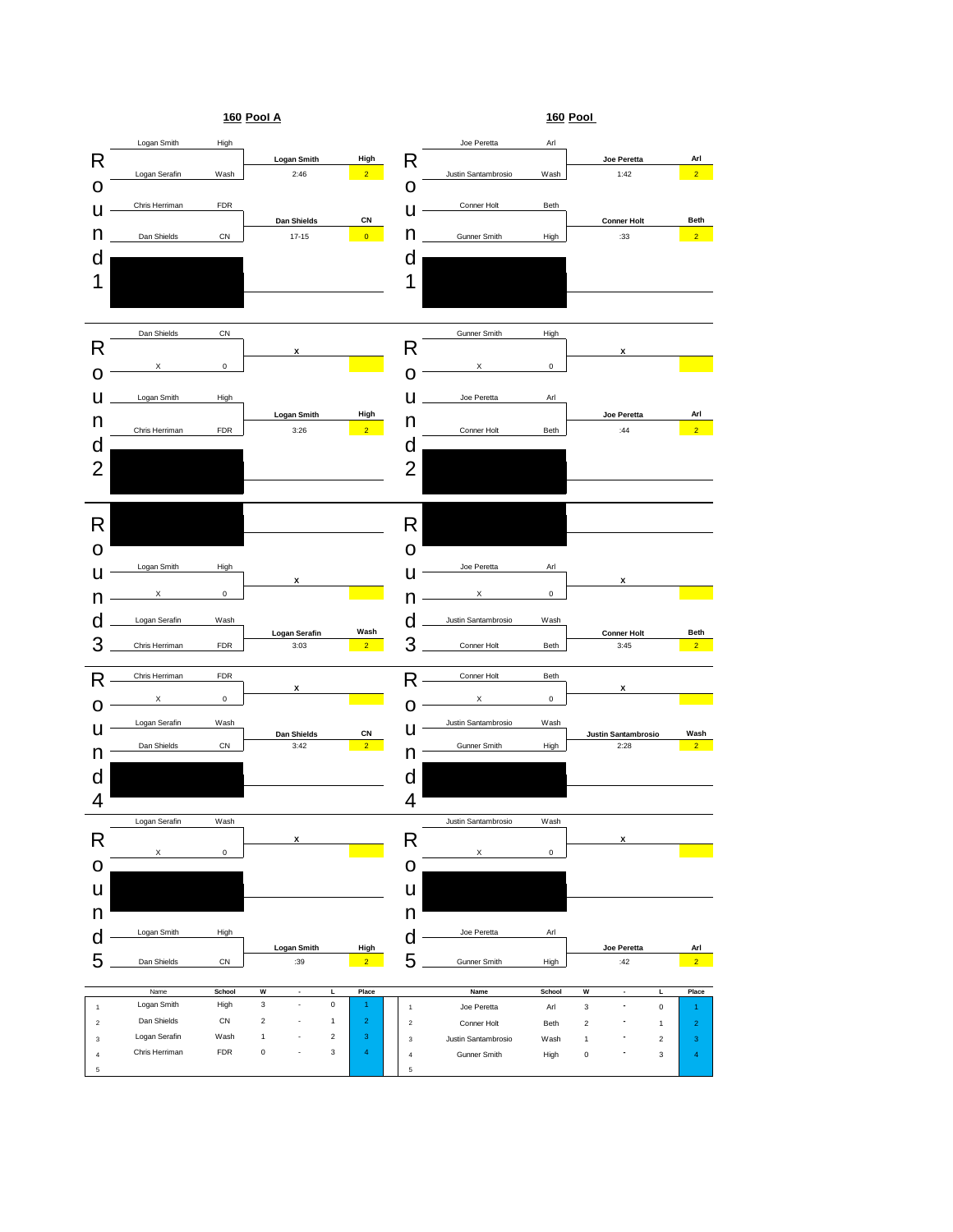![](_page_9_Figure_0.jpeg)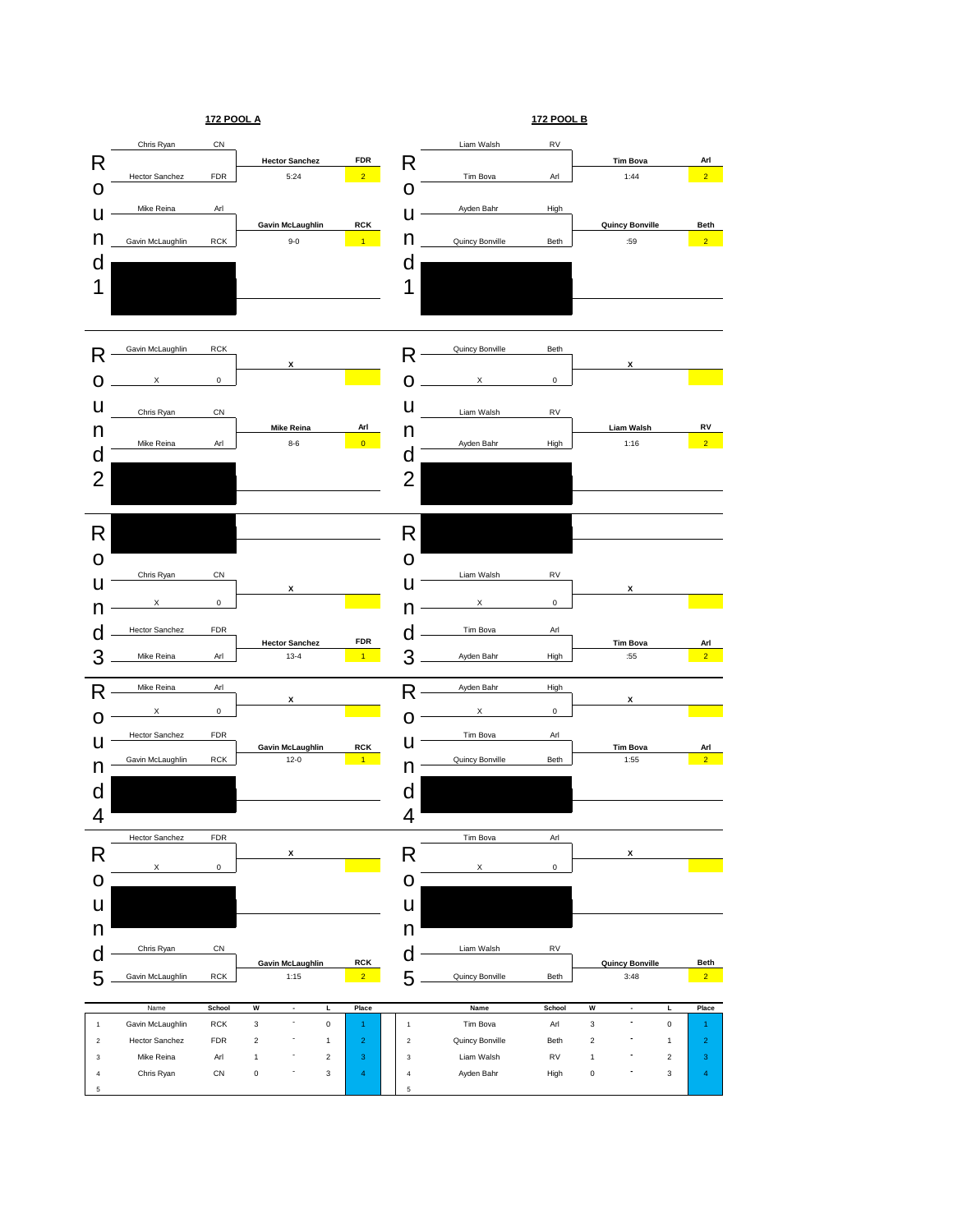![](_page_10_Figure_0.jpeg)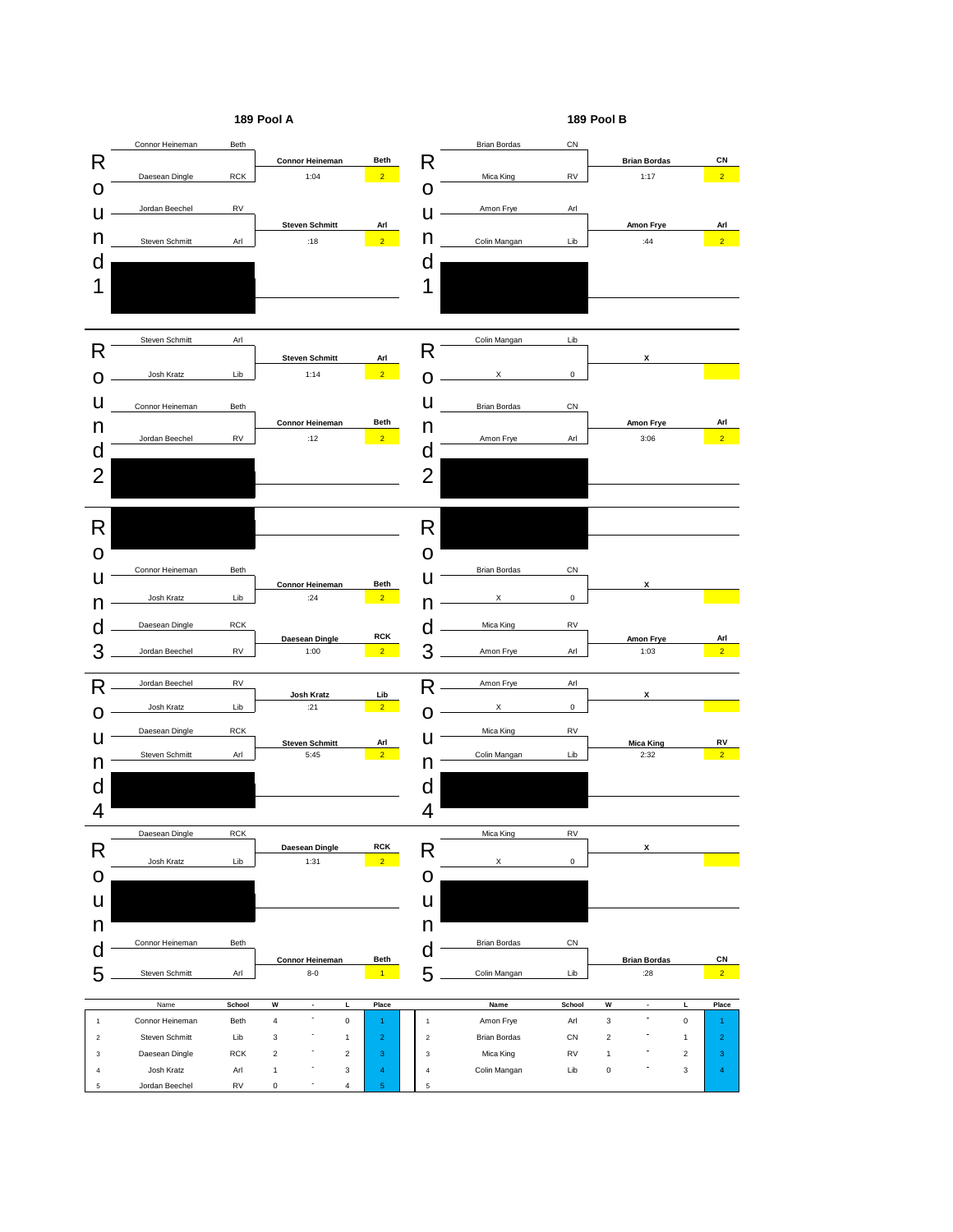![](_page_11_Figure_0.jpeg)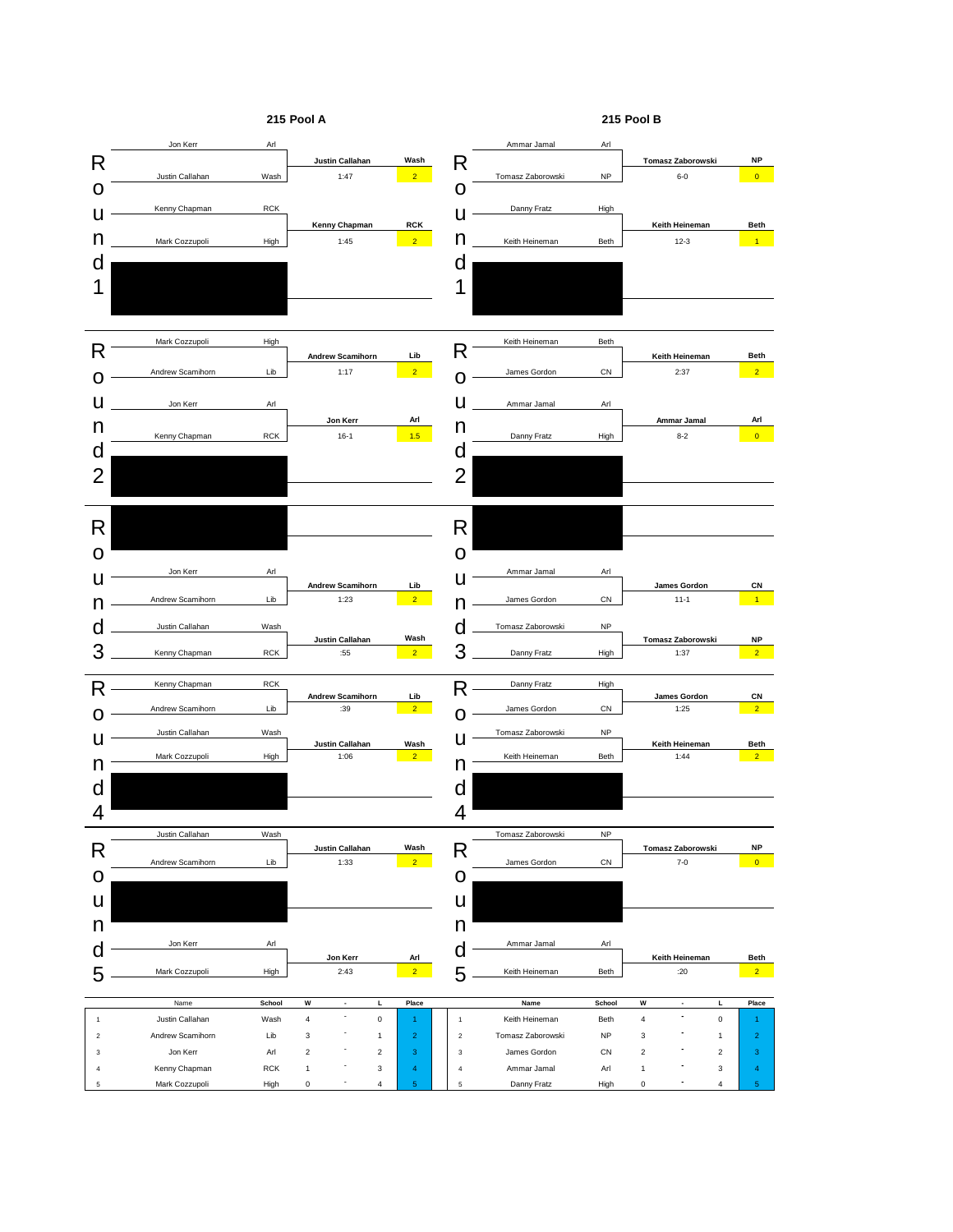![](_page_12_Figure_0.jpeg)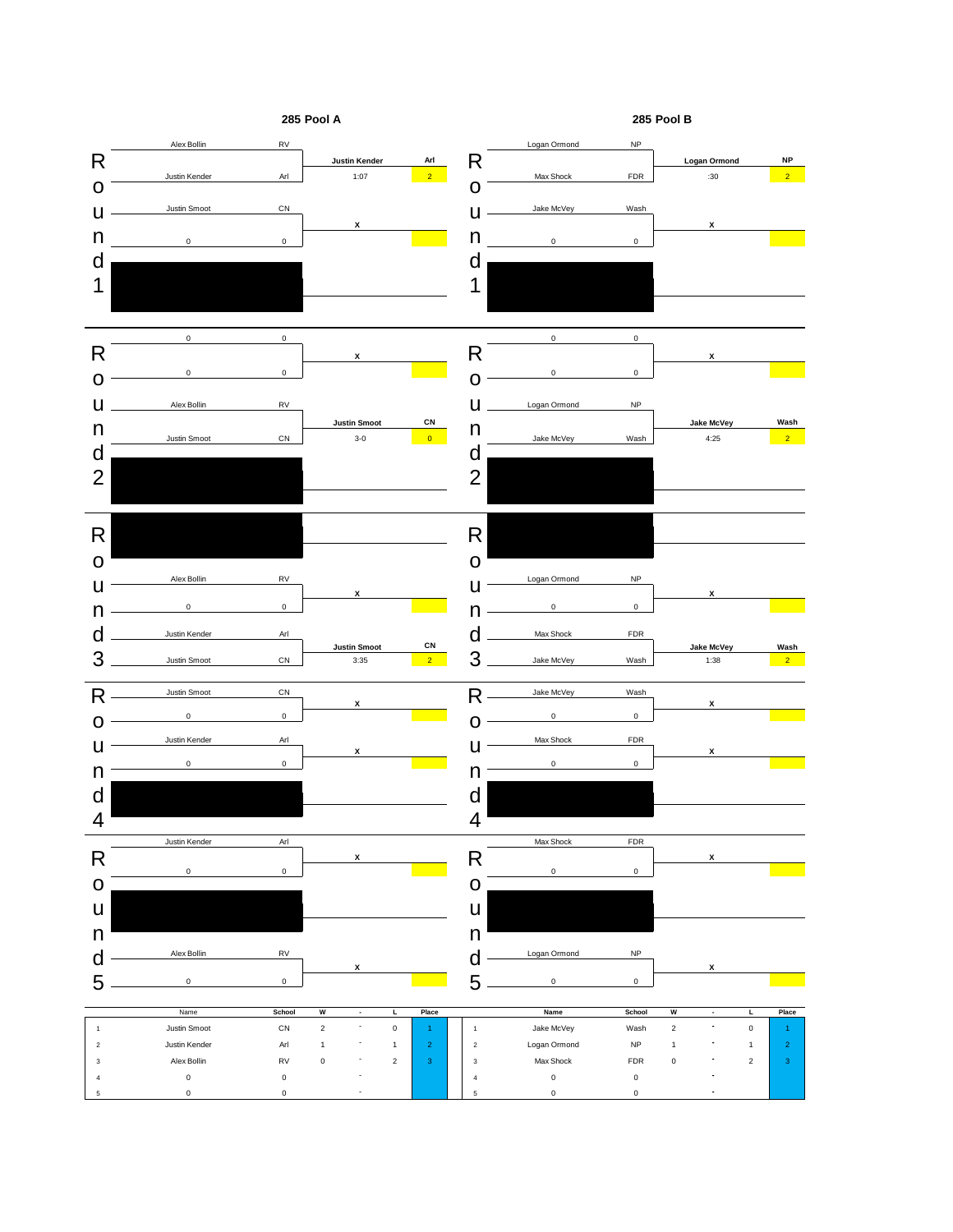![](_page_13_Figure_0.jpeg)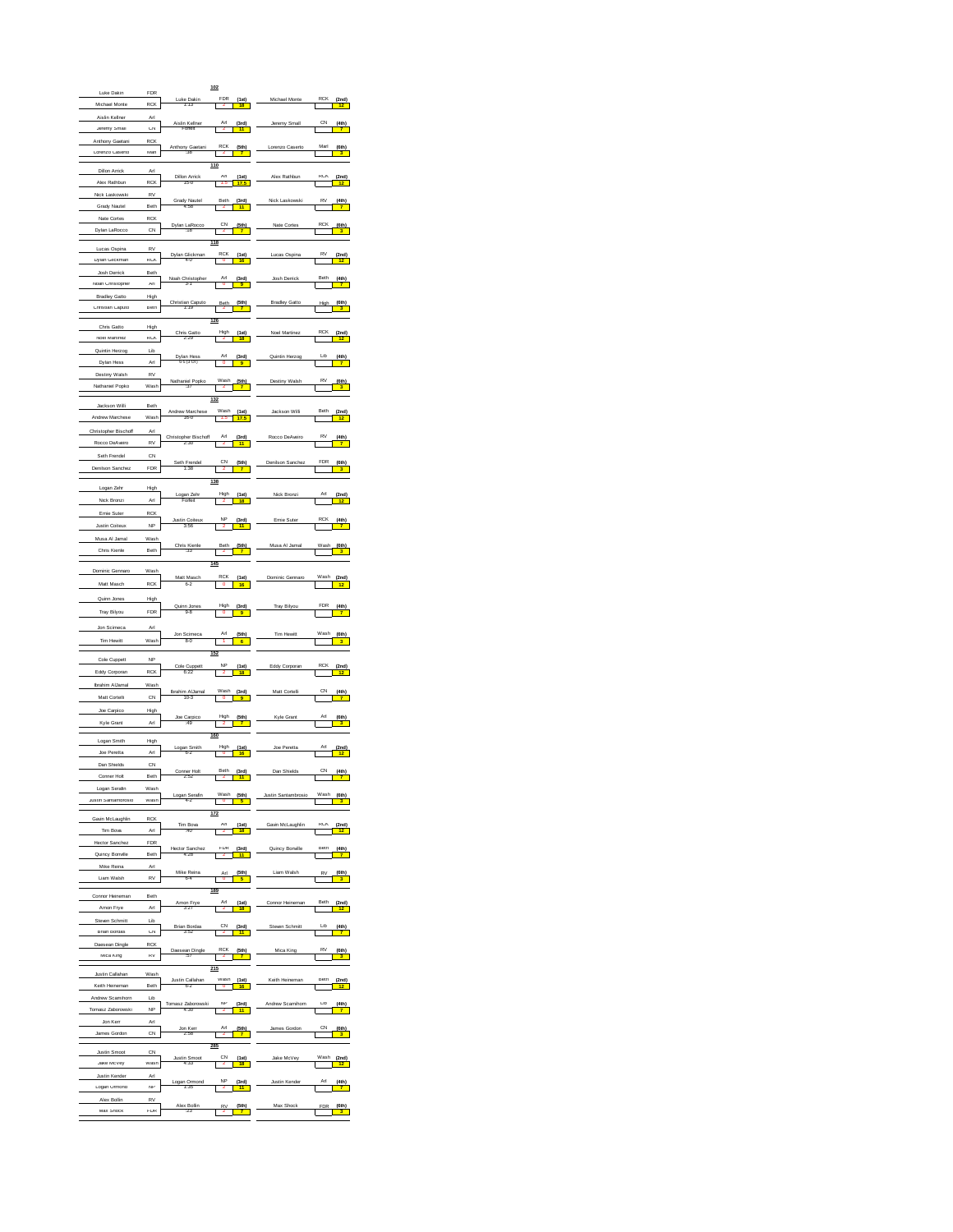| Luke Dakin                             | <b>FDR</b>           |                             | 102                                            |                      |                           |
|----------------------------------------|----------------------|-----------------------------|------------------------------------------------|----------------------|---------------------------|
| Michael Monte                          | <b>KUK</b>           | Luke Dakin<br>1.13          | <b>FUK</b><br>(1st)                            |                      | (2nd)                     |
| Aislin Kellner                         | Arl                  |                             |                                                |                      |                           |
| Jeremy Small                           | <b>CN</b>            | Aislin Kellner              | $\frac{(3rd)}{11}$                             | Jeremy Small         |                           |
| Anthony Gaetani                        | RCK                  |                             | KUK                                            | Lorenzo Caserto      | Mart<br>(6th)             |
| Lorenzo Caserto                        | Man                  | Anthony Gaetani             | (5th)                                          |                      |                           |
| Dillon Arrick                          | Arl                  |                             | 110                                            |                      |                           |
| Alex Rathbun                           | <b>RCK</b>           | Dillon Arrick<br>15-0       | (1st)<br>T                                     | Alex Rathbur         | $\frac{(2nd)}{12}$        |
| Nick Laskowski                         | RV                   | dy Nautei<br>4:58           | Beth<br>(3rd)                                  | Nick                 |                           |
| Grady Nautel<br>Nate Cortes            | Beth<br>RCK          |                             |                                                |                      |                           |
| Dylan LaRocco                          | CN                   | Dylan LaRocco<br>:18        | UN<br>(5th)                                    | Nate Cortes          | KU<br>(6th)               |
|                                        |                      |                             | 118                                            |                      |                           |
| Lucas Ospina<br>Dylan Glickman         | RV<br><b>RCK</b>     | Dylan<br>Glickman<br>4-0    | (1st)                                          | ucas Ospin           | R٧                        |
| Josh Derrick                           | Reth                 |                             |                                                |                      |                           |
| Noah Christopher                       | Arl                  | Noah Christopl<br>3-1       | $\frac{(3rd)}{9}$                              | sh Derrici           | $\frac{(4th)}{7}$         |
| <b>Bradley Gatto</b>                   | High                 |                             |                                                |                      |                           |
| Christian Caputo                       | Beth                 | hristian Caputo<br>1:19     | (5th)                                          | <b>Bradley Gatto</b> |                           |
| Chris Gatto                            | High                 |                             | 126                                            |                      |                           |
| Noel Martinez                          | RCK                  | Chris Gatto                 | $\frac{(1st)}{18}$                             |                      | $\frac{(2nd)}{12}$        |
| Quintin Herzog                         | Lib                  |                             | (3rd)                                          | Quintin Herzog       | LID<br>$\frac{(4th)}{4}$  |
| Dylan Hess                             | Arl                  | Dylan Hes<br>6-5 (3 OT)     |                                                |                      |                           |
| Destiny Walsh                          | RV<br>Wash           | Nathaniel Popko<br>:37      | Wash<br>(5th)                                  | tiny Walsh           | R١<br>$\frac{(6th)}{3}$   |
| Nathaniel Popko                        |                      |                             | 132                                            |                      |                           |
| Jackson Willi                          | Beth                 | Andrew Marchese<br>16-0     | Wash<br>1.5                                    | kson Willi           | Beth                      |
| Andrew Marchese                        | Wash                 |                             | $(1st)$<br>$17.5$                              |                      | $\frac{(2nd)}{12}$        |
| Christopher Bischoft                   | Arl                  | Bischo<br>Christophe        | (3rd)                                          | Rocco DeAve          | $\frac{(4th)}{7}$         |
| Rocco DeAveiro                         | RV                   | 2:30                        |                                                |                      |                           |
| Seth Frendel<br>Denilson Sanchez       | CN<br>FDR            | Seth Frendel<br>1:38        | (5th)<br>T                                     | nilson Sanche:       | FDR                       |
|                                        |                      |                             | 138                                            |                      |                           |
| Logan Zehr                             | High                 | ogan Zeh<br>Forfeit         | High<br><u>(1st)</u>                           | Nick Bronzi          | (2nd)                     |
| Nick Bronzi                            | Arl<br>RCK           |                             |                                                |                      |                           |
| Emie Suter<br>Justin Coiteux           | <b>NP</b>            | stin Coiteu<br>3:58         | $\frac{(3rd)}{11}$                             | Emie Sute            | $\frac{(4th)}{7}$         |
| Musa Al Jamal                          | Wash                 |                             |                                                |                      |                           |
| Chris Kienle                           | Beth                 | Chris Kienle<br>:33         | (5th)                                          | Musa Al Jama         |                           |
|                                        |                      |                             | 145                                            |                      |                           |
| Dominic Gennard                        | Wash                 | Matt Masch<br>6-2           | RCK<br>$\frac{(1st)}{16}$                      | Dominic Gennaro      | $\frac{(2nd)}{12}$        |
| Matt Masch                             | <b>RCK</b>           |                             |                                                |                      |                           |
| Quinn Jones                            | High                 | a.R                         | $\frac{(3rd)}{9}$                              | Tray Bilyou          |                           |
| Tray Bilyou                            | FDR                  |                             |                                                |                      |                           |
| Jon Scimeca                            | Arl                  | n Scime                     | $rac{5th}{6}$                                  | Tim Hewit            | $rac{6th}{3}$             |
| Tim Hewitt                             | Wash                 | $8 - 0$                     | 152                                            |                      |                           |
| Cole Cuppett                           | NP                   | Cole Cuppett                | (1st)                                          | Eddy Corporar        |                           |
| Eddy Corporan                          | RCK                  | 6:22                        |                                                |                      |                           |
| <b>Ibrahim AlJama</b><br>Matt Cortelli | Wash<br>CN           | Ibrahim AlJamal             | Wash<br>$\frac{(3rd)}{9}$                      | Matt Cortelli        | CN<br>$\frac{(4th)}{7}$   |
| Joe Carpico                            | High                 |                             |                                                |                      |                           |
| Kyle Grant                             | Arl                  | Joe Carpico                 | High<br>(5th)                                  | Kyle Grant           | $\frac{(6th)}{3}$         |
|                                        |                      |                             | 160                                            |                      |                           |
| Logan Smith<br>Joe Peretta             | High<br>An           | Logan Smith                 | High<br>(1st)                                  | Joe Peretta          | Arl<br>$\frac{(2nd)}{12}$ |
| Dan Shields                            | CN                   |                             |                                                |                      |                           |
| Conner Ho                              | Beth                 | Conner Holt                 | Beth<br>(3rd)                                  | Dan Shields          | CN<br>(4th)               |
| Logan Serafin                          | Wash                 |                             | Wash                                           | Justin Santambrosio  |                           |
| Justin Santambrosio                    | Wash                 | Logan Serafin<br>4-2        | $\frac{\text{(5th)}}{\text{}}$<br>$\mathbf I$  |                      | (6th)                     |
| Gavin McLaughlin                       | <b>RCK</b>           |                             | 172                                            | in McLaughlin        |                           |
| lim Boya                               | Art                  | Tim Bova                    | (1st)                                          |                      |                           |
| <b>Hector Sanchez</b>                  | FDR                  | Hector Sanche<br>4:28       | FDR<br>$\frac{(3rd)}{11}$                      | Quincy Bonville      | Beth<br>$\frac{(4th)}{7}$ |
| Quincy Bonville<br>Mike Reina          | Beth<br>Arl          |                             | 1                                              |                      |                           |
| Liam Walsh                             | KV                   | Mike Reina<br>64            | (5th)<br>Arl                                   | Liam Walsh           | (6th)<br>RV               |
|                                        |                      |                             | 189                                            |                      |                           |
| Connor Heineman<br>Amon Hrye           | Beth<br>Arl          | Amon Frye<br>3:27           | $\frac{(1st)}{18}$<br>$\overline{\phantom{a}}$ |                      | $\frac{(2nd)}{12}$        |
| Steven Schmitt                         | Lib                  |                             |                                                |                      |                           |
| <b>Brian Bordas</b>                    | CN                   | <b>Brian Bordas</b><br>3:52 | (3rd)                                          | Steven Schmitt       | LID<br>(4th)              |
| Daesean Dingle                         | RCK                  | Daesean Dingle              | (5th)                                          | Mica King            | (6th)                     |
| Mica King                              | KV                   |                             |                                                |                      |                           |
| Justin Callahan                        | Wash                 |                             | 215<br>wash                                    | Keith<br>Heineman    | Beth                      |
| Keith Heineman                         | Beth                 | Justin Callahan<br>6-2      | (1st)<br>16                                    |                      | $\frac{(2nd)}{12}$        |
| Andrew Scamihorn                       | Lib<br>$\mathsf{NP}$ | Tomasz Zab                  | NH<br>$\frac{(3rd)}{11}$                       | Andrew Scamihorn     | LID<br>(4th)              |
| Tomasz Zaborowski<br>Jon Kerr          | Arl                  |                             | I                                              |                      |                           |
| James Gordon                           | CN                   | Jon Kerr                    | (5th)<br>Arl                                   | James Gordon         | CN<br>(6th)               |
|                                        | CN                   |                             | 285                                            |                      |                           |
| <b>Justin Smoot</b><br>Jake McVey      | Wash                 | Justin Smoot<br>4:33        | $\frac{(1st)}{18}$                             | e McVe               | (2nd)                     |
| <b>Justin Kender</b>                   | Arl                  |                             |                                                |                      |                           |
| Logan Ormond                           | NP                   | Logan Ormono                | (3rd)<br><mark>11</mark>                       | Justin Kender        | (4th)                     |
| Alex Bollin                            | RV                   | Alex Bollin                 | (5th)<br>R١                                    | Max Shock            | (6th)<br>FDF              |
| Max Shock                              | FDR                  |                             |                                                |                      |                           |